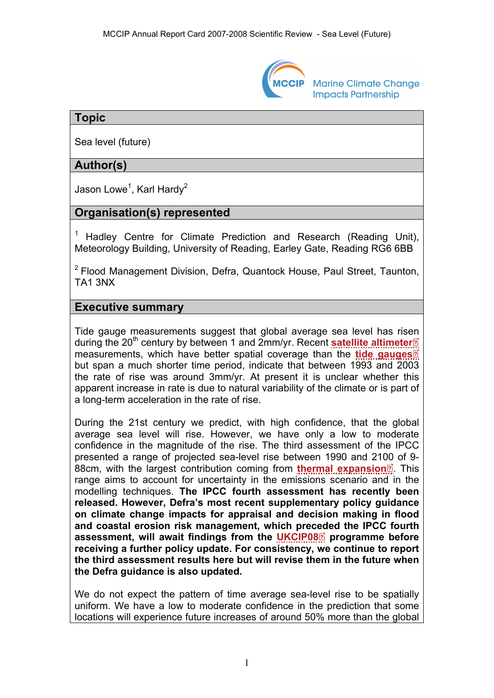

**Marine Climate Change Impacts Partnership** 

## **Topic**

Sea level (future)

# **Author(s)**

Jason Lowe<sup>1</sup>, Karl Hardy<sup>2</sup>

# **Organisation(s) represented**

<sup>1</sup> Hadley Centre for Climate Prediction and Research (Reading Unit), Meteorology Building, University of Reading, Earley Gate, Reading RG6 6BB

 $2$  Flood Management Division, Defra, Quantock House, Paul Street, Taunton, TA1 3NX

### **Executive summary**

Tide gauge measurements suggest that global average sea level has risen during the 20<sup>th</sup> century by between 1 and 2mm/yr. Recent **[satellite altimeter](http://www.mccip.org.uk/arc/2007/glossary.htm#radar_altimeters)**<sup>8</sup> measurements, which have better spatial coverage than the **[tide gauges](http://www.mccip.org.uk/arc/2007/glossary.htm#Tide_gauges)** but span a much shorter time period, indicate that between 1993 and 2003 the rate of rise was around 3mm/yr. At present it is unclear whether this apparent increase in rate is due to natural variability of the climate or is part of a long-term acceleration in the rate of rise.

During the 21st century we predict, with high confidence, that the global average sea level will rise. However, we have only a low to moderate confidence in the magnitude of the rise. The third assessment of the IPCC presented a range of projected sea-level rise between 1990 and 21[00](http://www.mccip.org.uk/arc/2007/glossary.htm) of 9- 88cm, with the largest contribution coming from **[thermal expansion](http://www.mccip.org.uk/arc/2007/glossary.htm#Thermal_expansion)**<sup>2</sup>. This range aims to account for uncertainty in the emissions scenario and in the modelling techniques. **The IPCC fourth assessment has recently been released. However, Defra's most recent supplementary policy guidance on climate change impacts for appraisal and decision making in flood and coastal erosion risk management, which preceded the IPCC fourth assessment, will await findings from the [UKCIP08](http://www.mccip.org.uk/arc/2007/glossary.htm#UKCIP08)programme before receiving a further policy update. For consistency, we continue to report the third assessment results here but will revise them in the future when the Defra guidance is also updated.** 

We do not expect the pattern of time average sea-level rise to be spatially uniform. We have a low to moderate confidence in the prediction that some locations will experience future increases of around 50% more than the global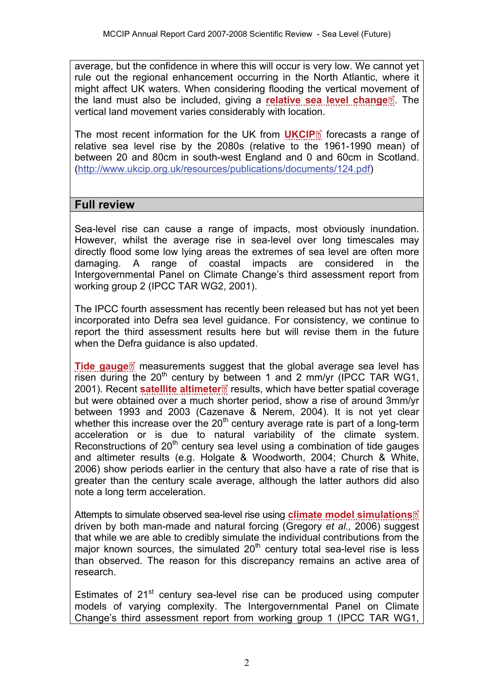average, but the confidence in where this will occur is very low. We cannot yet rule out the regional enhancement occurring in the North Atlantic, where it might affect UK waters. When considering flooding the vertical move[me](http://www.mccip.org.uk/arc/2007/glossary.htm)nt of the land must also be included, giving a **[relative sea level change](http://www.mccip.org.uk/arc/2007/glossary.htm#Relative_sea_level_change)**. The vertical land movement varies considerably with location.

The most recent information for the UK from **[UKCIP](http://www.mccip.org.uk/arc/2007/glossary.htm#UKCIP)**<sup>8</sup> forecasts a range of relative sea level rise by the 2080s (relative to the 1961-1990 mean) of between 20 and 80cm in south-west England and 0 and 60cm in Scotland. (<http://www.ukcip.org.uk/resources/publications/documents/124.pdf>)

### **Full review**

Sea-level rise can cause a range of impacts, most obviously inundation. However, whilst the average rise in sea-level over long timescales may directly flood some low lying areas the extremes of sea level are often more damaging. A range of coastal impacts are considered in the Intergovernmental Panel on Climate Change's third assessment report from working group 2 (IPCC TAR WG2, 2001).

The IPCC fourth assessment has recently been released but has not yet been incorporated into Defra sea level guidance. For consistency, we continue to report the third assessment results here but will revise them in the future when the Defra guidance is also updated.

**[Tide gauge](http://www.mccip.org.uk/arc/2007/glossary.htm#Tide_gauges)**<sup>2</sup> measurements suggest that the global average sea level has risen during the  $20<sup>th</sup>$  century b[y be](http://www.mccip.org.uk/arc/2007/glossary.htm)tween 1 and 2 mm/yr (IPCC TAR WG1, 2001). Recent **[satellite altimeter](http://www.mccip.org.uk/arc/2007/glossary.htm#radar_altimeters)** results, which have better spatial coverage but were obtained over a much shorter period, show a rise of around 3mm/yr between 1993 and 2003 (Cazenave & Nerem, 2004). It is not yet clear whether this increase over the  $20<sup>th</sup>$  century average rate is part of a long-term acceleration or is due to natural variability of the climate system. Reconstructions of  $20<sup>th</sup>$  century sea level using a combination of tide gauges and altimeter results (e.g. Holgate & Woodworth, 2004; Church & White, 2006) show periods earlier in the century that also have a rate of rise that is greater than the century scale average, although the latter authors did also note a long term acceleration.

Attempts to simulate observed sea-level rise using **[climate model simulations](http://www.mccip.org.uk/arc/2007/glossary.htm#Climate_model_simulations)** driven by both man-made and natural forcing (Gregory *et al.,* 2006) suggest that while we are able to credibly simulate the individual contributions from the major known sources, the simulated  $20<sup>th</sup>$  century total sea-level rise is less than observed. The reason for this discrepancy remains an active area of research.

Estimates of  $21<sup>st</sup>$  century sea-level rise can be produced using computer models of varying complexity. The Intergovernmental Panel on Climate Change's third assessment report from working group 1 (IPCC TAR WG1,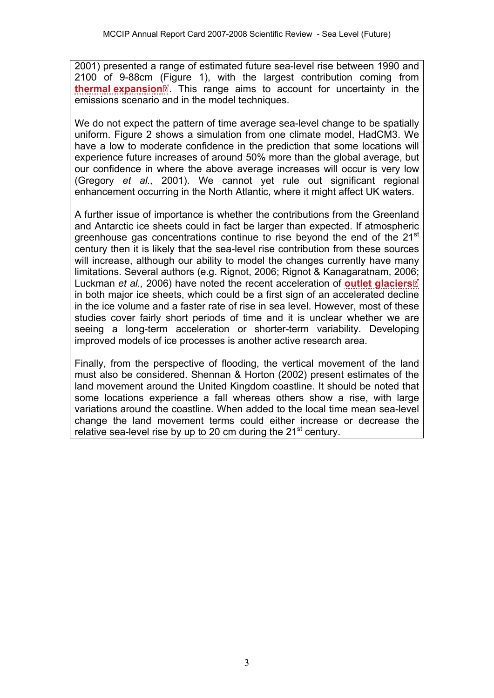2001) presented a range of estimated future sea-level rise between 1990 and 2100 of 9-88cm [\(Fig](http://www.mccip.org.uk/arc/2007/glossary.htm)ure 1), with the largest contribution coming from **[thermal expansion](http://www.mccip.org.uk/arc/2007/glossary.htm#Thermal_expansion)**<sup>2</sup>. This range aims to account for uncertainty in the emissions scenario and in the model techniques.

We do not expect the pattern of time average sea-level change to be spatially uniform. Figure 2 shows a simulation from one climate model, HadCM3. We have a low to moderate confidence in the prediction that some locations will experience future increases of around 50% more than the global average, but our confidence in where the above average increases will occur is very low (Gregory *et al.,* 2001). We cannot yet rule out significant regional enhancement occurring in the North Atlantic, where it might affect UK waters.

A further issue of importance is whether the contributions from the Greenland and Antarctic ice sheets could in fact be larger than expected. If atmospheric greenhouse gas concentrations continue to rise beyond the end of the 21<sup>st</sup> century then it is likely that the sea-level rise contribution from these sources will increase, although our ability to model the changes currently have many limitations. Several authors (e.g. Rignot, 2006; Rignot & Kanagaratnam, 20[06;](http://www.mccip.org.uk/arc/2007/glossary.htm)  Luckman *et al.,* 2006) have noted the recent acceleration of **[outlet glaciers](http://www.mccip.org.uk/arc/2007/glossary.htm#Outlet_glaciers)** in both major ice sheets, which could be a first sign of an accelerated decline in the ice volume and a faster rate of rise in sea level. However, most of these studies cover fairly short periods of time and it is unclear whether we are seeing a long-term acceleration or shorter-term variability. Developing improved models of ice processes is another active research area.

Finally, from the perspective of flooding, the vertical movement of the land must also be considered. Shennan & Horton (2002) present estimates of the land movement around the United Kingdom coastline. It should be noted that some locations experience a fall whereas others show a rise, with large variations around the coastline. When added to the local time mean sea-level change the land movement terms could either increase or decrease the relative sea-level rise by up to 20 cm during the 21<sup>st</sup> century.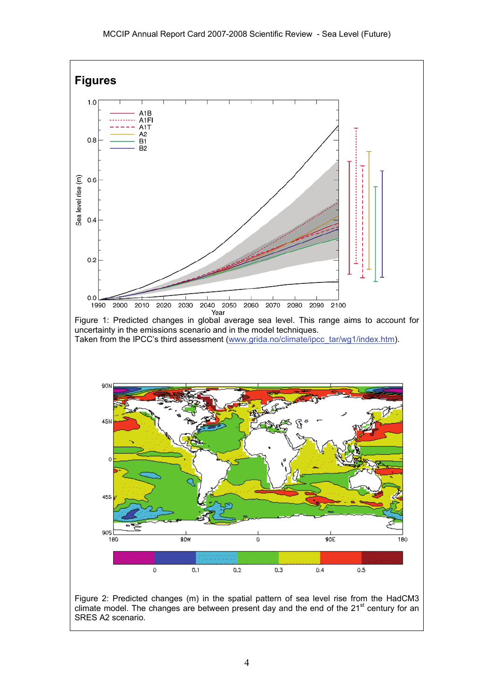

SRES A2 scenario.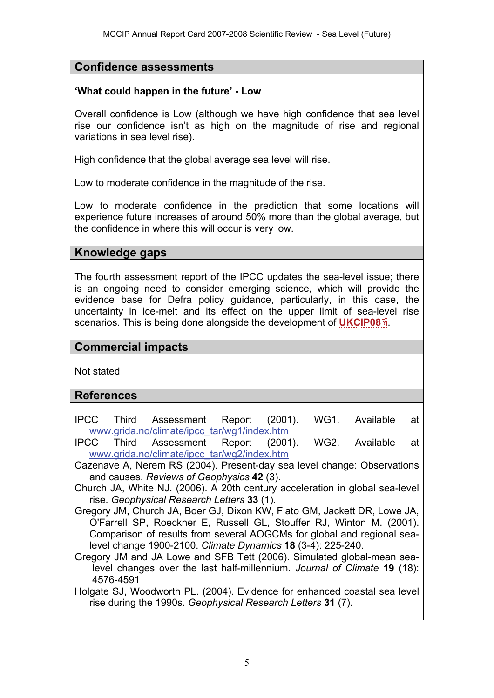## **Confidence assessments**

#### **'What could happen in the future' - Low**

Overall confidence is Low (although we have high confidence that sea level rise our confidence isn't as high on the magnitude of rise and regional variations in sea level rise).

High confidence that the global average sea level will rise.

Low to moderate confidence in the magnitude of the rise.

Low to moderate confidence in the prediction that some locations will experience future increases of around 50% more than the global average, but the confidence in where this will occur is very low.

### **Knowledge gaps**

The fourth assessment report of the IPCC updates the sea-level issue; there is an ongoing need to consider emerging science, which will provide the evidence base for Defra policy guidance, particularly, in this case, the uncertainty in ice-melt and its effect on the upper limit of sea-[leve](http://www.mccip.org.uk/arc/2007/glossary.htm)l rise scenarios. This is being done alongside the development of **[UKCIP08](http://www.mccip.org.uk/arc/2007/glossary.htm#UKCIP08)** .

### **Commercial impacts**

Not stated

#### **References**

- IPCC Third Assessment Report (2001). WG1. Available at [www.grida.no/climate/ipcc\\_tar/wg1/index.htm](http://www.grida.no/climate/ipcc_tar/wg1/index.htm)
- IPCC Third Assessment Report (2001). WG2. Available at [www.grida.no/climate/ipcc\\_tar/wg2/index.htm](http://www.grida.no/climate/ipcc_tar/wg2/index.htm)
- Cazenave A, Nerem RS (2004). Present-day sea level change: Observations and causes. *Reviews of Geophysics* **42** (3).
- Church JA, White NJ. (2006). A 20th century acceleration in global sea-level rise. *Geophysical Research Letters* **33** (1).
- Gregory JM, Church JA, Boer GJ, Dixon KW, Flato GM, Jackett DR, Lowe JA, O'Farrell SP, Roeckner E, Russell GL, Stouffer RJ, Winton M. (2001). Comparison of results from several AOGCMs for global and regional sealevel change 1900-2100. *Climate Dynamics* **18** (3-4): 225-240.
- Gregory JM and JA Lowe and SFB Tett (2006). Simulated global-mean sealevel changes over the last half-millennium. *Journal of Climate* **19** (18): 4576-4591
- Holgate SJ, Woodworth PL. (2004). Evidence for enhanced coastal sea level rise during the 1990s. *Geophysical Research Letters* **31** (7).